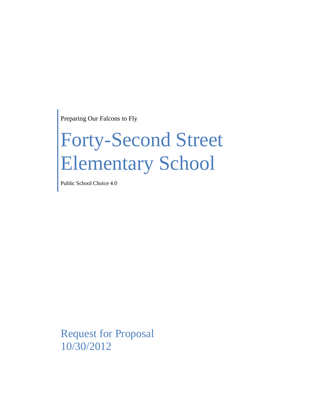Preparing Our Falcons to Fly

# Forty-Second Street Elementary School

Public School Choice 4.0

Request for Proposal 10/30/2012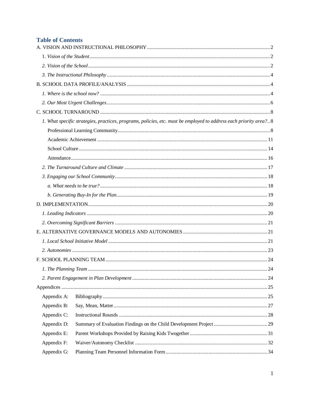# **Table of Contents**

|             | 1. What specific strategies, practices, programs, policies, etc. must be employed to address each priority area?8 |  |  |  |
|-------------|-------------------------------------------------------------------------------------------------------------------|--|--|--|
|             |                                                                                                                   |  |  |  |
|             |                                                                                                                   |  |  |  |
|             |                                                                                                                   |  |  |  |
|             |                                                                                                                   |  |  |  |
|             |                                                                                                                   |  |  |  |
|             |                                                                                                                   |  |  |  |
|             |                                                                                                                   |  |  |  |
|             |                                                                                                                   |  |  |  |
|             |                                                                                                                   |  |  |  |
|             |                                                                                                                   |  |  |  |
|             |                                                                                                                   |  |  |  |
|             |                                                                                                                   |  |  |  |
|             |                                                                                                                   |  |  |  |
|             |                                                                                                                   |  |  |  |
|             |                                                                                                                   |  |  |  |
|             |                                                                                                                   |  |  |  |
|             |                                                                                                                   |  |  |  |
|             |                                                                                                                   |  |  |  |
| Appendix A: |                                                                                                                   |  |  |  |
| Appendix B: |                                                                                                                   |  |  |  |
| Appendix C: |                                                                                                                   |  |  |  |
| Appendix D: |                                                                                                                   |  |  |  |
| Appendix E: |                                                                                                                   |  |  |  |
| Appendix F: |                                                                                                                   |  |  |  |
| Appendix G: |                                                                                                                   |  |  |  |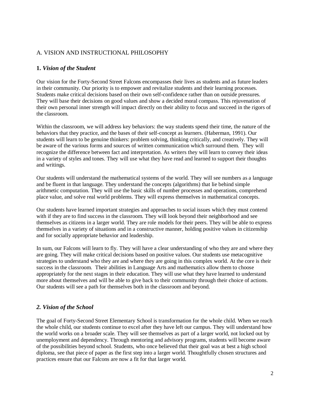## <span id="page-2-0"></span>A. VISION AND INSTRUCTIONAL PHILOSOPHY

## <span id="page-2-1"></span>**1.** *Vision of the Student*

Our vision for the Forty-Second Street Falcons encompasses their lives as students and as future leaders in their community. Our priority is to empower and revitalize students and their learning processes. Students make critical decisions based on their own self-confidence rather than on outside pressures. They will base their decisions on good values and show a decided moral compass. This rejuvenation of their own personal inner strength will impact directly on their ability to focus and succeed in the rigors of the classroom.

Within the classroom, we will address key behaviors: the way students spend their time, the nature of the behaviors that they practice, and the bases of their self-concept as learners. (Haberman, 1991). Our students will learn to be genuine thinkers: problem solving, thinking critically, and creatively. They will be aware of the various forms and sources of written communication which surround them. They will recognize the difference between fact and interpretation. As writers they will learn to convey their ideas in a variety of styles and tones. They will use what they have read and learned to support their thoughts and writings.

Our students will understand the mathematical systems of the world. They will see numbers as a language and be fluent in that language. They understand the concepts (algorithms) that lie behind simple arithmetic computation. They will use the basic skills of number processes and operations, comprehend place value, and solve real world problems. They will express themselves in mathematical concepts.

Our students have learned important strategies and approaches to social issues which they must contend with if they are to find success in the classroom. They will look beyond their neighborhood and see themselves as citizens in a larger world. They are role models for their peers. They will be able to express themselves in a variety of situations and in a constructive manner, holding positive values in citizenship and for socially appropriate behavior and leadership.

In sum, our Falcons will learn to fly. They will have a clear understanding of who they are and where they are going. They will make critical decisions based on positive values. Our students use metacognitive strategies to understand who they are and where they are going in this complex world. At the core is their success in the classroom. Their abilities in Language Arts and mathematics allow them to choose appropriately for the next stages in their education. They will use what they have learned to understand more about themselves and will be able to give back to their community through their choice of actions. Our students will see a path for themselves both in the classroom and beyond.

#### <span id="page-2-2"></span>*2. Vision of the School*

The goal of Forty-Second Street Elementary School is transformation for the whole child. When we reach the whole child, our students continue to excel after they have left our campus. They will understand how the world works on a broader scale. They will see themselves as part of a larger world, not locked out by unemployment and dependency. Through mentoring and advisory programs, students will become aware of the possibilities beyond school. Students, who once believed that their goal was at best a high school diploma, see that piece of paper as the first step into a larger world. Thoughtfully chosen structures and practices ensure that our Falcons are now a fit for that larger world.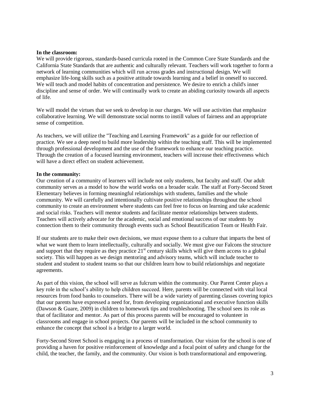#### **In the classroom:**

We will provide rigorous, standards-based curricula rooted in the Common Core State Standards and the California State Standards that are authentic and culturally relevant. Teachers will work together to form a network of learning communities which will run across grades and instructional design. We will emphasize life-long skills such as a positive attitude towards learning and a belief in oneself to succeed. We will teach and model habits of concentration and persistence. We desire to enrich a child's inner discipline and sense of order. We will continually work to create an abiding curiosity towards all aspects of life.

We will model the virtues that we seek to develop in our charges. We will use activities that emphasize collaborative learning. We will demonstrate social norms to instill values of fairness and an appropriate sense of competition.

As teachers, we will utilize the "Teaching and Learning Framework" as a guide for our reflection of practice. We see a deep need to build more leadership within the teaching staff. This will be implemented through professional development and the use of the framework to enhance our teaching practice. Through the creation of a focused learning environment, teachers will increase their effectiveness which will have a direct effect on student achievement.

#### **In the community:**

Our creation of a community of learners will include not only students, but faculty and staff. Our adult community serves as a model to how the world works on a broader scale. The staff at Forty-Second Street Elementary believes in forming meaningful relationships with students, families and the whole community. We will carefully and intentionally cultivate positive relationships throughout the school community to create an environment where students can feel free to focus on learning and take academic and social risks. Teachers will mentor students and facilitate mentor relationships between students. Teachers will actively advocate for the academic, social and emotional success of our students by connection them to their community through events such as School Beautification Team or Health Fair.

If our students are to make their own decisions, we must expose them to a culture that imparts the best of what we want them to learn intellectually, culturally and socially. We must give our Falcons the structure and support that they require as they practice  $21<sup>st</sup>$  century skills which will give them access to a global society. This will happen as we design mentoring and advisory teams, which will include teacher to student and student to student teams so that our children learn how to build relationships and negotiate agreements.

As part of this vision, the school will serve as fulcrum within the community. Our Parent Center plays a key role in the school's ability to help children succeed. Here, parents will be connected with vital local resources from food banks to counselors. There will be a wide variety of parenting classes covering topics that our parents have expressed a need for, from developing organizational and executive function skills (Dawson & Guare, 2009) in children to homework tips and troubleshooting. The school sees its role as that of facilitator and mentor. As part of this process parents will be encouraged to volunteer in classrooms and engage in school projects. Our parents will be included in the school community to enhance the concept that school is a bridge to a larger world.

Forty-Second Street School is engaging in a process of transformation. Our vision for the school is one of providing a haven for positive reinforcement of knowledge and a focal point of safety and change for the child, the teacher, the family, and the community. Our vision is both transformational and empowering.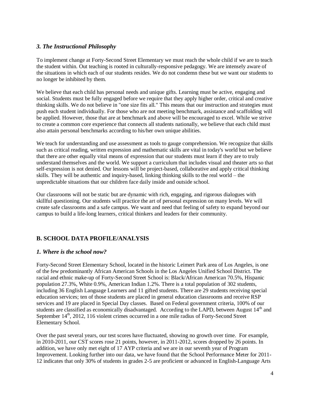## <span id="page-4-0"></span>*3. The Instructional Philosophy*

To implement change at Forty-Second Street Elementary we must reach the whole child if we are to teach the student within. Out teaching is rooted in culturally-responsive pedagogy. We are intensely aware of the situations in which each of our students resides. We do not condemn these but we want our students to no longer be inhibited by them.

We believe that each child has personal needs and unique gifts. Learning must be active, engaging and social. Students must be fully engaged before we require that they apply higher order, critical and creative thinking skills. We do not believe in "one size fits all." This means that our instruction and strategies must push each student individually. For those who are not meeting benchmark, assistance and scaffolding will be applied. However, those that are at benchmark and above will be encouraged to excel. While we strive to create a common core experience that connects all students nationally, we believe that each child must also attain personal benchmarks according to his/her own unique abilities.

We teach for understanding and use assessment as tools to gauge comprehension. We recognize that skills such as critical reading, written expression and mathematic skills are vital in today's world but we believe that there are other equally vital means of expression that our students must learn if they are to truly understand themselves and the world. We support a curriculum that includes visual and theater arts so that self-expression is not denied. Our lessons will be project-based, collaborative and apply critical thinking skills. They will be authentic and inquiry-based, linking thinking skills to the real world – the unpredictable situations that our children face daily inside and outside school.

Our classrooms will not be static but are dynamic with rich, engaging, and rigorous dialogues with skillful questioning. Our students will practice the art of personal expression on many levels. We will create safe classrooms and a safe campus. We want and need that feeling of safety to expand beyond our campus to build a life-long learners, critical thinkers and leaders for their community.

# <span id="page-4-1"></span>**B. SCHOOL DATA PROFILE/ANALYSIS**

## <span id="page-4-2"></span>*1. Where is the school now?*

Forty-Second Street Elementary School, located in the historic Leimert Park area of Los Angeles, is one of the few predominantly African American Schools in the Los Angeles Unified School District. The racial and ethnic make-up of Forty-Second Street School is: Black/African American 70.5%, Hispanic population 27.3%, White 0.9%, American Indian 1.2%. There is a total population of 302 students, including 36 English Language Learners and 11 gifted students. There are 29 students receiving special education services; ten of those students are placed in general education classrooms and receive RSP services and 19 are placed in Special Day classes. Based on Federal government criteria, 100% of our students are classified as economically disadvantaged. According to the LAPD, between August  $14<sup>th</sup>$  and September 14<sup>th</sup>, 2012, 116 violent crimes occurred in a one mile radius of Forty-Second Street Elementary School.

Over the past several years, our test scores have fluctuated, showing no growth over time. For example, in 2010-2011, our CST scores rose 21 points, however, in 2011-2012, scores dropped by 26 points. In addition, we have only met eight of 17 AYP criteria and we are in our seventh year of Program Improvement. Looking further into our data, we have found that the School Performance Meter for 2011- 12 indicates that only 30% of students in grades 2-5 are proficient or advanced in English-Language Arts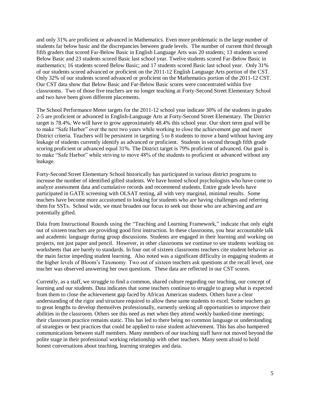and only 31% are proficient or advanced in Mathematics. Even more problematic is the large number of students far below basic and the discrepancies between grade levels. The number of current third through fifth graders that scored Far-Below Basic in English Language Arts was 20 students; 13 students scored Below Basic and 23 students scored Basic last school year. Twelve students scored Far-Below Basic in mathematics; 16 students scored Below Basic; and 17 students scored Basic last school year. Only 31% of our students scored advanced or proficient on the 2011-12 English Language Arts portion of the CST. Only 32% of our students scored advanced or proficient on the Mathematics portion of the 2011-12 CST. Our CST data show that Below Basic and Far-Below Basic scores were concentrated within five classrooms. Two of those five teachers are no longer teaching at Forty-Second Street Elementary School and two have been given different placements.

The School Performance Meter targets for the 2011-12 school year indicate 30% of the students in grades 2-5 are proficient or advanced in English-Language Arts at Forty-Second Street Elementary. The District target is 78.4%. We will have to grow approximately 48.4% this school year. Our short term goal will be to make "Safe Harbor" over the next two years while working to close the achievement gap and meet District criteria. Teachers will be persistent in targeting 5 to 8 students to move a band without having any leakage of students currently identify as advanced or proficient. Students in second through fifth grade scoring proficient or advanced equal 31%. The District target is 79% proficient of advanced. Our goal is to make "Safe Harbor" while striving to move 48% of the students to proficient or advanced without any leakage.

Forty-Second Street Elementary School historically has participated in various district programs to increase the number of identified gifted students. We have hosted school psychologists who have come to analyze assessment data and cumulative records and recommend students. Entire grade levels have participated in GATE screening with OLSAT testing, all with very marginal, minimal results. Some teachers have become more accustomed to looking for students who are having challenges and referring them for SSTs. School wide, we must broaden our focus to seek out those who are achieving and are potentially gifted.

Data from Instructional Rounds using the "Teaching and Learning Framework," indicate that only eight out of sixteen teachers are providing good first instruction. In these classrooms, you hear accountable talk and academic language during group discussions. Students are engaged in their learning and working on projects, not just paper and pencil. However, in other classrooms we continue to see students working on worksheets that are barely to standards. In four out of sixteen classrooms teachers cite student behavior as the main factor impeding student learning. Also noted was a significant difficulty in engaging students at the higher levels of Bloom's Taxonomy. Two out of sixteen teachers ask questions at the recall level, one teacher was observed answering her own questions. These data are reflected in our CST scores.

Currently, as a staff, we struggle to find a common, shared culture regarding our teaching, our concept of learning and our students. Data indicates that some teachers continue to struggle to grasp what is expected from them to close the achievement gap faced by African American students. Others have a clear understanding of the rigor and structure required to allow these same students to excel. Some teachers go to great lengths to develop themselves professionally, earnestly seeking all opportunities to improve their abilities in the classroom. Others see this need as met when they attend weekly banked-time meetings; their classroom practice remains static. This has led to there being no common language or understanding of strategies or best practices that could be applied to raise student achievement. This has also hampered communications between staff members. Many members of our teaching staff have not moved beyond the polite stage in their professional working relationship with other teachers. Many seem afraid to hold honest conversations about teaching, learning strategies and data.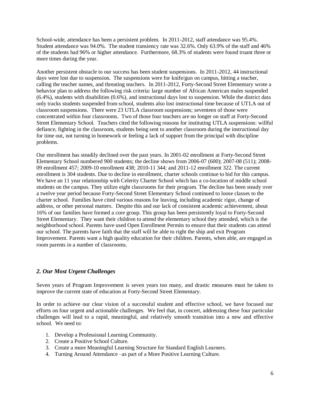School-wide, attendance has been a persistent problem. In 2011-2012, staff attendance was 95.4%. Student attendance was 94.0%. The student transiency rate was 32.6%. Only 63.9% of the staff and 46% of the students had 96% or higher attendance. Furthermore, 68.3% of students were found truant three or more times during the year.

Another persistent obstacle to our success has been student suspensions. In 2011-2012, 44 instructional days were lost due to suspension. The suspensions were for knife/gun on campus, hitting a teacher, calling the teacher names, and threating teachers. In 2011-2012, Forty-Second Street Elementary wrote a behavior plan to address the following risk criteria: large number of African American males suspended (6.4%), students with disabilities (0.6%), and instructional days lost to suspension. While the district data only tracks students suspended from school, students also lost instructional time because of UTLA out of classroom suspensions. There were 23 UTLA classroom suspensions; seventeen of those were concentrated within four classrooms. Two of those four teachers are no longer on staff at Forty-Second Street Elementary School. Teachers cited the following reasons for instituting UTLA suspensions: willful defiance, fighting in the classroom, students being sent to another classroom during the instructional day for time out, not turning in homework or feeling a lack of support from the principal with discipline problems.

Our enrollment has steadily declined over the past years. In 2001-02 enrollment at Forty-Second Street Elementary School numbered 900 students; the decline shows from 2006-07 (600); 2007-08 (511); 2008- 09 enrollment 457; 2009-10 enrollment 438; 2010-11 344; and 2011-12 enrollment 322. The current enrollment is 304 students. Due to decline in enrollment, charter schools continue to bid for this campus. We have an 11 year relationship with Celerity Charter School which has a co-location of middle school students on the campus. They utilize eight classrooms for their program. The decline has been steady over a twelve year period because Forty-Second Street Elementary School continued to loose classes to the charter school. Families have cited various reasons for leaving, including academic rigor, change of address, or other personal matters. Despite this and our lack of consistent academic achievement, about 16% of our families have formed a core group. This group has been persistently loyal to Forty-Second Street Elementary. They want their children to attend the elementary school they attended, which is the neighborhood school. Parents have used Open Enrollment Permits to ensure that their students can attend our school. The parents have faith that the staff will be able to right the ship and exit Program Improvement. Parents want a high quality education for their children. Parents, when able, are engaged as room parents in a number of classrooms.

#### <span id="page-6-0"></span>*2. Our Most Urgent Challenges*

Seven years of Program Improvement is seven years too many, and drastic measures must be taken to improve the current state of education at Forty-Second Street Elementary.

In order to achieve our clear vision of a successful student and effective school, we have focused our efforts on four urgent and actionable challenges. We feel that, in concert, addressing these four particular challenges will lead to a rapid, meaningful, and relatively smooth transition into a new and effective school. We need to:

- 1. Develop a Professional Learning Community.
- 2. Create a Positive School Culture.
- 3. Create a more Meaningful Learning Structure for Standard English Learners.
- 4. Turning Around Attendance –as part of a More Positive Learning Culture.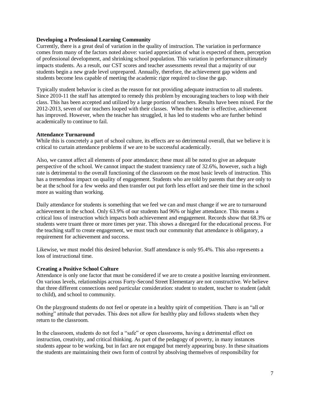#### **Developing a Professional Learning Community**

Currently, there is a great deal of variation in the quality of instruction. The variation in performance comes from many of the factors noted above: varied appreciation of what is expected of them, perception of professional development, and shrinking school population. This variation in performance ultimately impacts students. As a result, our CST scores and teacher assessments reveal that a majority of our students begin a new grade level unprepared. Annually, therefore, the achievement gap widens and students become less capable of meeting the academic rigor required to close the gap.

Typically student behavior is cited as the reason for not providing adequate instruction to all students. Since 2010-11 the staff has attempted to remedy this problem by encouraging teachers to loop with their class. This has been accepted and utilized by a large portion of teachers. Results have been mixed. For the 2012-2013, seven of our teachers looped with their classes. When the teacher is effective, achievement has improved. However, when the teacher has struggled, it has led to students who are further behind academically to continue to fail.

#### **Attendance Turnaround**

While this is concretely a part of school culture, its effects are so detrimental overall, that we believe it is critical to curtain attendance problems if we are to be successful academically.

Also, we cannot affect all elements of poor attendance; these must all be noted to give an adequate perspective of the school. We cannot impact the student transiency rate of 32.6%, however, such a high rate is detrimental to the overall functioning of the classroom on the most basic levels of instruction. This has a tremendous impact on quality of engagement. Students who are told by parents that they are only to be at the school for a few weeks and then transfer out put forth less effort and see their time in the school more as waiting than working.

Daily attendance for students is something that we feel we can and must change if we are to turnaround achievement in the school. Only 63.9% of our students had 96% or higher attendance. This means a critical loss of instruction which impacts both achievement and engagement. Records show that 68.3% or students were truant three or more times per year. This shows a disregard for the educational process. For the teaching staff to create engagement, we must teach our community that attendance is obligatory, a requirement for achievement and success.

Likewise, we must model this desired behavior. Staff attendance is only 95.4%. This also represents a loss of instructional time.

#### **Creating a Positive School Culture**

Attendance is only one factor that must be considered if we are to create a positive learning environment. On various levels, relationships across Forty-Second Street Elementary are not constructive. We believe that three different connections need particular consideration: student to student, teacher to student (adult to child), and school to community.

On the playground students do not feel or operate in a healthy spirit of competition. There is an "all or nothing" attitude that pervades. This does not allow for healthy play and follows students when they return to the classroom.

In the classroom, students do not feel a "safe" or open classrooms, having a detrimental effect on instruction, creativity, and critical thinking. As part of the pedagogy of poverty, in many instances students appear to be working, but in fact are not engaged but merely appearing busy. In these situations the students are maintaining their own form of control by absolving themselves of responsibility for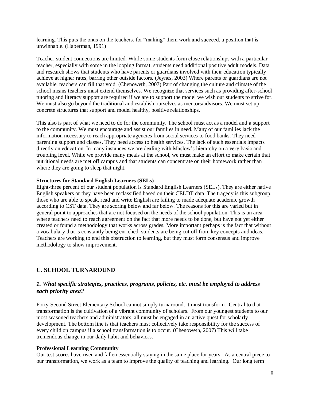learning. This puts the onus on the teachers, for "making" them work and succeed, a position that is unwinnable. (Haberman, 1991)

Teacher-student connections are limited. While some students form close relationships with a particular teacher, especially with some in the looping format, students need additional positive adult models. Data and research shows that students who have parents or guardians involved with their education typically achieve at higher rates, barring other outside factors. (Jeynes, 2003) Where parents or guardians are not available, teachers can fill that void. (Chenoweth, 2007) Part of changing the culture and climate of the school means teachers must extend themselves. We recognize that services such as providing after-school tutoring and literacy support are required if we are to support the model we wish our students to strive for. We must also go beyond the traditional and establish ourselves as mentors/advisors. We must set up concrete structures that support and model healthy, positive relationships.

This also is part of what we need to do for the community. The school must act as a model and a support to the community. We must encourage and assist our families in need. Many of our families lack the information necessary to reach appropriate agencies from social services to food banks. They need parenting support and classes. They need access to health services. The lack of such essentials impacts directly on education. In many instances we are dealing with Maslow's hierarchy on a very basic and troubling level. While we provide many meals at the school, we must make an effort to make certain that nutritional needs are met off campus and that students can concentrate on their homework rather than where they are going to sleep that night.

#### **Structures for Standard English Learners (SELs)**

Eight-three percent of our student population is Standard English Learners (SELs). They are either native English speakers or they have been reclassified based on their CELDT data. The tragedy is this subgroup, those who are able to speak, read and write English are failing to made adequate academic growth according to CST data. They are scoring below and far below. The reasons for this are varied but in general point to approaches that are not focused on the needs of the school population. This is an area where teachers need to reach agreement on the fact that more needs to be done, but have not yet either created or found a methodology that works across grades. More important perhaps is the fact that without a vocabulary that is constantly being enriched, students are being cut off from key concepts and ideas. Teachers are working to end this obstruction to learning, but they must form consensus and improve methodology to show improvement.

## <span id="page-8-1"></span><span id="page-8-0"></span>**C. SCHOOL TURNAROUND**

## *1. What specific strategies, practices, programs, policies, etc. must be employed to address each priority area?*

Forty-Second Street Elementary School cannot simply turnaround, it must transform. Central to that transformation is the cultivation of a vibrant community of scholars. From our youngest students to our most seasoned teachers and administrators, all must be engaged in an active quest for scholarly development. The bottom line is that teachers must collectively take responsibility for the success of every child on campus if a school transformation is to occur. (Chenoweth, 2007) This will take tremendous change in our daily habit and behaviors.

#### <span id="page-8-2"></span>**Professional Learning Community**

Our test scores have risen and fallen essentially staying in the same place for years. As a central piece to our transformation, we work as a team to improve the quality of teaching and learning. Our long term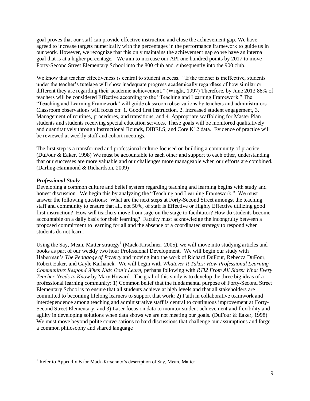goal proves that our staff can provide effective instruction and close the achievement gap. We have agreed to increase targets numerically with the percentages in the performance framework to guide us in our work. However, we recognize that this only maintains the achievement gap so we have an internal goal that is at a higher percentage. We aim to increase our API one hundred points by 2017 to move Forty-Second Street Elementary School into the 800 club and, subsequently into the 900 club.

We know that teacher effectiveness is central to student success. "If the teacher is ineffective, students under the teacher's tutelage will show inadequate progress academically regardless of how similar or different they are regarding their academic achievement." (Wright, 1997) Therefore, by June 2013 88% of teachers will be considered Effective according to the "Teaching and Learning Framework." The "Teaching and Learning Framework" will guide classroom observations by teachers and administrators. Classroom observations will focus on: 1. Good first instruction, 2. Increased student engagement, 3. Management of routines, procedures, and transitions, and 4. Appropriate scaffolding for Master Plan students and students receiving special education services. These goals will be monitored qualitatively and quantitatively through Instructional Rounds, DIBELS, and Core K12 data. Evidence of practice will be reviewed at weekly staff and cohort meetings.

The first step is a transformed and professional culture focused on building a community of practice. (DuFour & Eaker, 1998) We must be accountable to each other and support to each other, understanding that our successes are more valuable and our challenges more manageable when our efforts are combined. (Darling-Hammond & Richardson, 2009)

#### *Professional Study*

 $\overline{\phantom{a}}$ 

Developing a common culture and belief system regarding teaching and learning begins with study and honest discussion. We begin this by analyzing the "Teaching and Learning Framework." We must answer the following questions: What are the next steps at Forty-Second Street amongst the teaching staff and community to ensure that all, not 50%, of staff is Effective or Highly Effective utilizing good first instruction? How will teachers move from sage on the stage to facilitator? How do students become accountable on a daily basis for their learning? Faculty must acknowledge the incongruity between a proposed commitment to learning for all and the absence of a coordinated strategy to respond when students do not learn.

Using the Say, Mean, Matter strategy<sup>1</sup> (Mack-Kirschner, 2005), we will move into studying articles and books as part of our weekly two hour Professional Development. We will begin our study with Haberman's *The Pedagogy of Poverty* and moving into the work of Richard DuFour, Rebecca DuFour, Robert Eaker, and Gayle Karhanek. We will begin with *Whatever It Takes: How Professional Learning Communities Respond When Kids Don't Learn*, perhaps following with *RTI2 From All Sides: What Every Teacher Needs to Know* by Mary Howard. The goal of this study is to develop the three big ideas of a professional learning community: 1) Common belief that the fundamental purpose of Forty-Second Street Elementary School is to ensure that all students achieve at high levels and that all stakeholders are committed to becoming lifelong learners to support that work; 2) Faith in collaborative teamwork and interdependence among teaching and administrative staff is central to continuous improvement at Forty-Second Street Elementary, and 3) Laser focus on data to monitor student achievement and flexibility and agility in developing solutions when data shows we are not meeting our goals. (DuFour & Eaker, 1998) We must move beyond polite conversations to hard discussions that challenge our assumptions and forge a common philosophy and shared language

 $<sup>1</sup>$  Refer to Appendix B for Mack-Kirschner's description of Say, Mean, Matter</sup>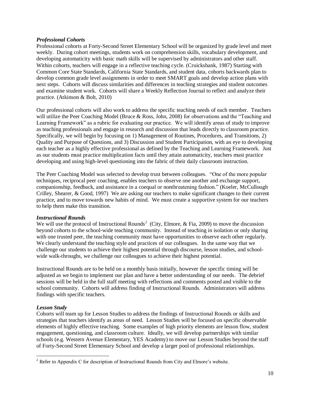#### *Professional Cohorts*

Professional cohorts at Forty-Second Street Elementary School will be organized by grade level and meet weekly. During cohort meetings, students work on comprehension skills, vocabulary development, and developing automaticity with basic math skills will be supervised by administrators and other staff. Within cohorts, teachers will engage in a reflective teaching cycle. (Cruickshank, 1987) Starting with Common Core State Standards, California State Standards, and student data, cohorts backwards plan to develop common grade level assignments in order to meet SMART goals and develop action plans with next steps. Cohorts will discuss similarities and differences in teaching strategies and student outcomes and examine student work. Cohorts will share a Weekly Reflection Journal to reflect and analyze their practice. (Atkinson & Bolt, 2010)

Our professional cohorts will also work to address the specific teaching needs of each member. Teachers will utilize the Peer Coaching Model (Bruce & Ross, John, 2008) for observations and the "Teaching and Learning Framework" as a rubric for evaluating our practice. We will identify areas of study to improve as teaching professionals and engage in research and discussion that leads directly to classroom practice. Specifically, we will begin by focusing on 1) Management of Routines, Procedures, and Transitions, 2) Quality and Purpose of Questions, and 3) Discussion and Student Participation, with an eye to developing each teacher as a highly effective professional as defined by the Teaching and Learning Framework. Just as our students must practice multiplication facts until they attain automaticity, teachers must practice developing and using high-level questioning into the fabric of their daily classroom instruction.

The Peer Coaching Model was selected to develop trust between colleagues. "One of the more popular techniques, reciprocal peer coaching, enables teachers to observe one another and exchange support, companionship, feedback, and assistance in a coequal or nonthreatening fashion." (Koeler, McCullough Crilley, Shearer, & Good, 1997) We are asking our teachers to make significant changes to their current practice, and to move towards new habits of mind. We must create a supportive system for our teachers to help them make this transition.

#### *Instructional Rounds*

We will use the protocol of Instructional Rounds<sup>2</sup> (City, Elmore, & Fia, 2009) to move the discussion beyond cohorts to the school-wide teaching community. Instead of teaching in isolation or only sharing with one trusted peer, the teaching community must have opportunities to observe each other regularly. We clearly understand the teaching style and practices of our colleagues. In the same way that we challenge our students to achieve their highest potential through discourse, lesson studies, and schoolwide walk-throughs, we challenge our colleagues to achieve their highest potential.

Instructional Rounds are to be held on a monthly basis initially, however the specific timing will be adjusted as we begin to implement our plan and have a better understanding of our needs. The debrief sessions will be held in the full staff meeting with reflections and comments posted and visible to the school community. Cohorts will address finding of Instructional Rounds. Administrators will address findings with specific teachers.

#### *Lesson Study*

 $\overline{\phantom{a}}$ 

Cohorts will team up for Lesson Studies to address the findings of Instructional Rounds or skills and strategies that teachers identify as areas of need. Lesson Studies will be focused on specific observable elements of highly effective teaching. Some examples of high priority elements are lesson flow, student engagement, questioning, and classroom culture. Ideally, we will develop partnerships with similar schools (e.g. Western Avenue Elementary, YES Academy) to move our Lesson Studies beyond the staff of Forty-Second Street Elementary School and develop a larger pool of professional relationships.

<sup>&</sup>lt;sup>2</sup> Refer to Appendix C for description of Instructional Rounds from City and Elmore's website.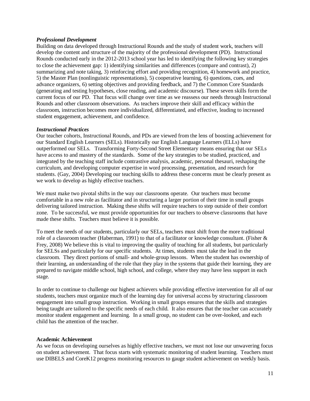#### *Professional Development*

Building on data developed through Instructional Rounds and the study of student work, teachers will develop the content and structure of the majority of the professional development (PD). Instructional Rounds conducted early in the 2012-2013 school year has led to identifying the following key strategies to close the achievement gap: 1) identifying similarities and differences (compare and contrast), 2) summarizing and note taking, 3) reinforcing effort and providing recognition, 4) homework and practice, 5) the Master Plan (nonlinguistic representations), 5) cooperative learning, 6) questions, cues, and advance organizers, 6) setting objectives and providing feedback, and 7) the Common Core Standards (generating and testing hypotheses, close reading, and academic discourse). These seven skills form the current focus of our PD. That focus will change over time as we reassess our needs through Instructional Rounds and other classroom observations. As teachers improve their skill and efficacy within the classroom, instruction becomes more individualized, differentiated, and effective, leading to increased student engagement, achievement, and confidence.

#### *Instructional Practices*

Our teacher cohorts, Instructional Rounds, and PDs are viewed from the lens of boosting achievement for our Standard English Learners (SELs). Historically our English Language Learners (ELLs) have outperformed our SELs. Transforming Forty-Second Street Elementary means ensuring that our SELs have access to and mastery of the standards. Some of the key strategies to be studied, practiced, and integrated by the teaching staff include contrastive analysis, academic, personal thesauri, reshaping the curriculum, and developing computer expertise in word processing, presentation, and research for students. (Gay, 2004) Developing our teaching skills to address these concerns must be clearly present as we work to develop as highly effective teachers.

We must make two pivotal shifts in the way our classrooms operate. Our teachers must become comfortable in a new role as facilitator and in structuring a larger portion of their time in small groups delivering tailored instruction. Making these shifts will require teachers to step outside of their comfort zone. To be successful, we must provide opportunities for our teachers to observe classrooms that have made these shifts. Teachers must believe it is possible.

To meet the needs of our students, particularly our SELs, teachers must shift from the more traditional role of a classroom teacher (Haberman, 1991) to that of a facilitator or knowledge consultant. (Fisher & Frey, 2008) We believe this is vital to improving the quality of teaching for all students, but particularly for SELSs and particularly for our specific students. At times, students must take the lead in the classroom. They direct portions of small- and whole-group lessons. When the student has ownership of their learning, an understanding of the role that they play in the systems that guide their learning, they are prepared to navigate middle school, high school, and college, where they may have less support in each stage.

In order to continue to challenge our highest achievers while providing effective intervention for all of our students, teachers must organize much of the learning day for universal access by structuring classroom engagement into small group instruction. Working in small groups ensures that the skills and strategies being taught are tailored to the specific needs of each child. It also ensures that the teacher can accurately monitor student engagement and learning. In a small group, no student can be over-looked, and each child has the attention of the teacher.

#### <span id="page-11-0"></span>**Academic Achievement**

As we focus on developing ourselves as highly effective teachers, we must not lose our unwavering focus on student achievement. That focus starts with systematic monitoring of student learning. Teachers must use DIBELS and CoreK12 progress monitoring resources to gauge student achievement on weekly basis.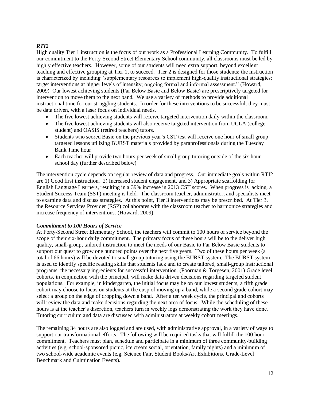# *RTI2*

High quality Tier 1 instruction is the focus of our work as a Professional Learning Community. To fulfill our commitment to the Forty-Second Street Elementary School community, all classrooms must be led by highly effective teachers. However, some of our students will need extra support, beyond excellent teaching and effective grouping at Tier 1, to succeed. Tier 2 is designed for those students; the instruction is characterized by including "supplementary resources to implement high-quality instructional strategies; target interventions at higher levels of intensity; ongoing formal and informal assessment." (Howard, 2009) Our lowest achieving students (Far Below Basic and Below Basic) are prescriptively targeted for intervention to move them to the next band. We use a variety of methods to provide additional instructional time for our struggling students. In order for these interventions to be successful, they must be data driven, with a laser focus on individual needs.

- The five lowest achieving students will receive targeted intervention daily within the classroom.
- The five lowest achieving students will also receive targeted intervention from UCLA (college  $\bullet$ student) and OASIS (retired teachers) tutors.
- Students who scored Basic on the previous year's CST test will receive one hour of small group  $\bullet$ targeted lessons utilizing BURST materials provided by paraprofessionals during the Tuesday Bank Time hour
- Each teacher will provide two hours per week of small group tutoring outside of the six hour school day (further described below)

The intervention cycle depends on regular review of data and progress. Our immediate goals within RTI2 are 1) Good first instruction, 2) Increased student engagement, and 3) Appropriate scaffolding for English Language Learners, resulting in a 39% increase in 2013 CST scores. When progress is lacking, a Student Success Team (SST) meeting is held. The classroom teacher, administrator, and specialists meet to examine data and discuss strategies. At this point, Tier 3 interventions may be prescribed. At Tier 3, the Resource Services Provider (RSP) collaborates with the classroom teacher to harmonize strategies and increase frequency of interventions. (Howard, 2009)

#### *Commitment to 100 Hours of Service*

At Forty-Second Street Elementary School, the teachers will commit to 100 hours of service beyond the scope of their six-hour daily commitment. The primary focus of these hours will be to the deliver high quality, small-group, tailored instruction to meet the needs of our Basic to Far Below Basic students to support our quest to grow one hundred points over the next five years. Two of these hours per week (a total of 66 hours) will be devoted to small group tutoring using the BURST system. The BURST system is used to identify specific reading skills that students lack and to create tailored, small-group instructional programs, the necessary ingredients for successful intervention. (Foorman & Torgesen, 2001) Grade level cohorts, in conjunction with the principal, will make data driven decisions regarding targeted student populations. For example, in kindergarten, the initial focus may be on our lowest students, a fifth grade cohort may choose to focus on students at the cusp of moving up a band, while a second grade cohort may select a group on the edge of dropping down a band. After a ten week cycle, the principal and cohorts will review the data and make decisions regarding the next area of focus. While the scheduling of these hours is at the teacher's discretion, teachers turn in weekly logs demonstrating the work they have done. Tutoring curriculum and data are discussed with administrators at weekly cohort meetings.

The remaining 34 hours are also logged and are used, with administrative approval, in a variety of ways to support our transformational efforts. The following will be required tasks that will fulfill the 100 hour commitment. Teachers must plan, schedule and participate in a minimum of three community-building activities (e.g. school-sponsored picnic, ice cream social, orientation, family nights) and a minimum of two school-wide academic events (e.g. Science Fair, Student Books/Art Exhibitions, Grade-Level Benchmark and Culmination Events).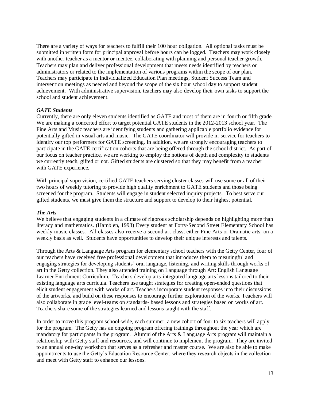There are a variety of ways for teachers to fulfill their 100 hour obligation. All optional tasks must be submitted in written form for principal approval before hours can be logged. Teachers may work closely with another teacher as a mentor or mentee, collaborating with planning and personal teacher growth. Teachers may plan and deliver professional development that meets needs identified by teachers or administrators or related to the implementation of various programs within the scope of our plan. Teachers may participate in Individualized Education Plan meetings, Student Success Team and intervention meetings as needed and beyond the scope of the six hour school day to support student achievement. With administrative supervision, teachers may also develop their own tasks to support the school and student achievement.

#### *GATE Students*

Currently, there are only eleven students identified as GATE and most of them are in fourth or fifth grade. We are making a concerted effort to target potential GATE students in the 2012-2013 school year. The Fine Arts and Music teachers are identifying students and gathering applicable portfolio evidence for potentially gifted in visual arts and music. The GATE coordinator will provide in-service for teachers to identify our top performers for GATE screening. In addition, we are strongly encouraging teachers to participate in the GATE certification cohorts that are being offered through the school district. As part of our focus on teacher practice, we are working to employ the notions of depth and complexity to students we currently teach, gifted or not. Gifted students are clustered so that they may benefit from a teacher with GATE experience.

With principal supervision, certified GATE teachers serving cluster classes will use some or all of their two hours of weekly tutoring to provide high quality enrichment to GATE students and those being screened for the program. Students will engage in student selected inquiry projects. To best serve our gifted students, we must give them the structure and support to develop to their highest potential.

#### *The Arts*

We believe that engaging students in a climate of rigorous scholarship depends on highlighting more than literacy and mathematics. (Hamblen, 1993) Every student at Forty-Second Street Elementary School has weekly music classes. All classes also receive a second art class, either Fine Arts or Dramatic arts, on a weekly basis as well. Students have opportunities to develop their unique interests and talents.

Through the Arts & Language Arts program for elementary school teachers with the Getty Center, four of our teachers have received free professional development that introduces them to meaningful and engaging strategies for developing students' oral language, listening, and writing skills through works of art in the Getty collection. They also attended training on Language through Art: English Language Learner Enrichment Curriculum. Teachers develop arts-integrated language arts lessons tailored to their existing language arts curricula. Teachers use taught strategies for creating open-ended questions that elicit student engagement with works of art. Teachers incorporate student responses into their discussions of the artworks, and build on these responses to encourage further exploration of the works. Teachers will also collaborate in grade level-teams on standards- based lessons and strategies based on works of art. Teachers share some of the strategies learned and lessons taught with the staff.

In order to move this program school-wide, each summer, a new cohort of four to six teachers will apply for the program. The Getty has an ongoing program offering trainings throughout the year which are mandatory for participants in the program. Alumni of the Arts & Language Arts program will maintain a relationship with Getty staff and resources, and will continue to implement the program. They are invited to an annual one-day workshop that serves as a refresher and master course. We are also be able to make appointments to use the Getty's Education Resource Center, where they research objects in the collection and meet with Getty staff to enhance our lessons.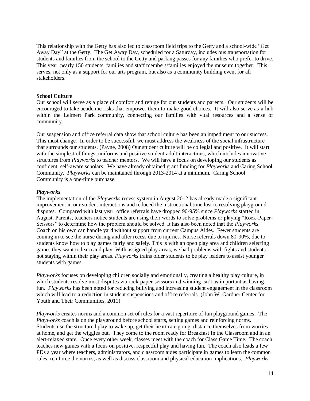This relationship with the Getty has also led to classroom field trips to the Getty and a school-wide "Get Away Day" at the Getty. The Get Away Day, scheduled for a Saturday, includes bus transportation for students and families from the school to the Getty and parking passes for any families who prefer to drive. This year, nearly 150 students, families and staff members/families enjoyed the museum together. This serves, not only as a support for our arts program, but also as a community building event for all stakeholders.

#### <span id="page-14-0"></span>**School Culture**

Our school will serve as a place of comfort and refuge for our students and parents. Our students will be encouraged to take academic risks that empower them to make good choices. It will also serve as a hub within the Leimert Park community, connecting our families with vital resources and a sense of community.

Our suspension and office referral data show that school culture has been an impediment to our success. This must change. In order to be successful, we must address the weakness of the social infrastructure that surrounds our students. (Payne, 2008) Our student culture will be collegial and positive. It will start with the simplest of things, uniforms and positive student-adult interactions, which includes innovative structures from *Playworks* to teacher mentors. We will have a focus on developing our students as confident, self-aware scholars. We have already obtained grant funding for *Playworks* and Caring School Community. *Playworks* can be maintained through 2013-2014 at a minimum. Caring School Community is a one-time purchase.

#### *Playworks*

The implementation of the *Playworks* recess system in August 2012 has already made a significant improvement in our student interactions and reduced the instructional time lost to resolving playground disputes. Compared with last year, office referrals have dropped 90-95% since *Playworks* started in August. Parents, teachers notice students are using their words to solve problems or playing "Rock-Paper-Scissors" to determine how the problem should be solved. It has also been noted that the *Playworks* Coach on his own can handle yard without support from current Campus Aides. Fewer students are coming in to see the nurse during and after recess due to injuries. Nurse referrals down 80-90%, due to students know how to play games fairly and safely. This is with an open play area and children selecting games they want to learn and play. With assigned play areas, we had problems with fights and students not staying within their play areas. *Playworks* trains older students to be play leaders to assist younger students with games.

*Playworks* focuses on developing children socially and emotionally, creating a healthy play culture, in which students resolve most disputes via rock-paper-scissors and winning isn't as important as having fun. *Playworks* has been noted for reducing bullying and increasing student engagement in the classroom which will lead to a reduction in student suspensions and office referrals. (John W. Gardner Center for Youth and Their Communities, 2011)

*Playworks* creates norms and a common set of rules for a vast repertoire of fun playground games. The *Playworks* coach is on the playground before school starts, setting games and reinforcing norms. Students use the structured play to wake up, get their heart rate going, distance themselves from worries at home, and get the wiggles out. They come to the room ready for Breakfast In the Classroom and in an alert-relaxed state. Once every other week, classes meet with the coach for Class Game Time. The coach teaches new games with a focus on positive, respectful play and having fun. The coach also leads a few PDs a year where teachers, administrators, and classroom aides participate in games to learn the common rules, reinforce the norms, as well as discuss classroom and physical education implications. *Playworks*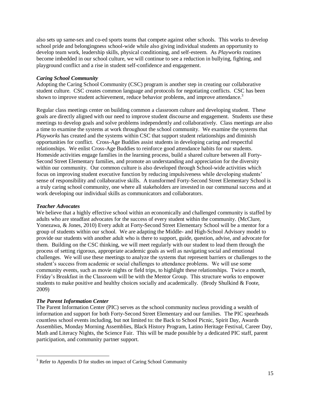also sets up same-sex and co-ed sports teams that compete against other schools. This works to develop school pride and belongingness school-wide while also giving individual students an opportunity to develop team work, leadership skills, physical conditioning, and self-esteem. As *Playworks* routines become imbedded in our school culture, we will continue to see a reduction in bullying, fighting, and playground conflict and a rise in student self-confidence and engagement.

## *Caring School Community*

Adopting the Caring School Community (CSC) program is another step in creating our collaborative student culture. CSC creates common language and protocols for negotiating conflicts. CSC has been shown to improve student achievement, reduce behavior problems, and improve attendance.<sup>3</sup>

Regular class meetings center on building common a classroom culture and developing student. These goals are directly aligned with our need to improve student discourse and engagement. Students use these meetings to develop goals and solve problems independently and collaboratively. Class meetings are also a time to examine the systems at work throughout the school community. We examine the systems that *Playworks* has created and the systems within CSC that support student relationships and diminish opportunities for conflict. Cross-Age Buddies assist students in developing caring and respectful relationships. We enlist Cross-Age Buddies to reinforce good attendance habits for our students. Homeside activities engage families in the learning process, build a shared culture between all Forty-Second Street Elementary families, and promote an understanding and appreciation for the diversity within our community. Our common culture is also developed through School-wide activities which focus on improving student executive function by reducing impulsiveness while developing students' sense of responsibility and collaborative skills. A transformed Forty-Second Street Elementary School is a truly caring school community, one where all stakeholders are invested in our communal success and at work developing our individual skills as communicators and collaborators.

## *Teacher Advocates*

We believe that a highly effective school within an economically and challenged community is staffed by adults who are steadfast advocates for the success of every student within the community. (McClure, Yonezawa, & Jones, 2010) Every adult at Forty-Second Street Elementary School will be a mentor for a group of students within our school. We are adapting the Middle- and High-School Advisory model to provide our students with another adult who is there to support, guide, question, advise, and advocate for them. Building on the CSC thinking, we will meet regularly with our student to lead them through the process of setting rigorous, appropriate academic goals as well as navigating social and emotional challenges. We will use these meetings to analyze the systems that represent barriers or challenges to the student's success from academic or social challenges to attendance problems. We will use some community events, such as movie nights or field trips, to highlight these relationships. Twice a month, Friday's Breakfast in the Classroom will be with the Mentor Group. This structure works to empower students to make positive and healthy choices socially and academically. (Brody Shulkind & Foote, 2009)

## *The Parent Information Center*

 $\overline{\phantom{a}}$ 

The Parent Information Center (PIC) serves as the school community nucleus providing a wealth of information and support for both Forty-Second Street Elementary and our families. The PIC spearheads countless school events including, but not limited to: the Back to School Picnic, Spirit Day, Awards Assemblies, Monday Morning Assemblies, Black History Program, Latino Heritage Festival, Career Day, Math and Literacy Nights, the Science Fair. This will be made possible by a dedicated PIC staff, parent participation, and community partner support.

 $3$  Refer to Appendix D for studies on impact of Caring School Community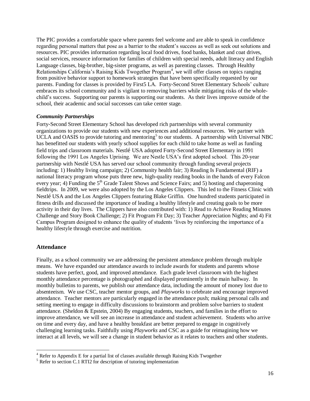The PIC provides a comfortable space where parents feel welcome and are able to speak in confidence regarding personal matters that pose as a barrier to the student's success as well as seek out solutions and resources. PIC provides information regarding local food drives, food banks, blanket and coat drives, social services, resource information for families of children with special needs, adult literacy and English Language classes, big-brother, big-sister programs, as well as parenting classes. Through Healthy Relationships California's Raising Kids Twogether Program<sup>4</sup>, we will offer classes on topics ranging from positive behavior support to homework strategies that have been specifically requested by our parents. Funding for classes is provided by First5 LA. Forty-Second Street Elementary Schools' culture embraces its school community and is vigilant to removing barriers while mitigating risks of the wholechild's success. Supporting our parents is supporting our students. As their lives improve outside of the school, their academic and social successes can take center stage.

#### *Community Partnerships*

Forty-Second Street Elementary School has developed rich partnerships with several community organizations to provide our students with new experiences and additional resources. We partner with UCLA and OASIS to provide tutoring and mentoring<sup>5</sup> to our students. A partnership with Universal NBC has benefitted our students with yearly school supplies for each child to take home as well as funding field trips and classroom materials. Nestlé USA adopted Forty-Second Street Elementary in 1991 following the 1991 Los Angeles Uprising. We are Nestle USA's first adopted school. This 20-year partnership with Nestlé USA has served our school community through funding several projects including: 1) Healthy living campaign; 2) Community health fair; 3) Reading Is Fundamental (RIF) a national literacy program whose puts three new, high-quality reading books in the hands of every Falcon every year; 4) Funding the 5<sup>th</sup> Grade Talent Shows and Science Fairs; and 5) hosting and chaperoning fieldtrips. In 2009, we were also adopted by the Los Angeles Clippers. This led to the Fitness Clinic with Nestlé USA and the Los Angeles Clippers featuring Blake Griffin. One hundred students participated in fitness drills and discussed the importance of leading a healthy lifestyle and creating goals to be more activity in their day lives. The Clippers have also contributed with: 1) Read to Achieve Reading Minutes Challenge and Story Book Challenge; 2) Fit Program Fit Day; 3) Teacher Appreciation Nights; and 4) Fit Campus Program designed to enhance the quality of students 'lives by reinforcing the importance of a healthy lifestyle through exercise and nutrition.

#### <span id="page-16-0"></span>**Attendance**

 $\overline{a}$ 

Finally, as a school community we are addressing the persistent attendance problem through multiple means. We have expanded our attendance awards to include awards for students and parents whose students have perfect, good, and improved attendance. Each grade level classroom with the highest monthly attendance percentage is photographed and displayed prominently in the main hallway. In monthly bulletins to parents, we publish our attendance data, including the amount of money lost due to absenteeism. We use CSC, teacher mentor groups, and *Playworks* to celebrate and encourage improved attendance. Teacher mentors are particularly engaged in the attendance push; making personal calls and setting meeting to engage in difficulty discussions to brainstorm and problem solve barriers to student attendance. (Sheldon & Epstein, 2004) By engaging students, teachers, and families in the effort to improve attendance, we will see an increase in attendance and student achievement. Students who arrive on time and every day, and have a healthy breakfast are better prepared to engage in cognitively challenging learning tasks. Faithfully using *Playworks* and CSC as a guide for reimagining how we interact at all levels, we will see a change in student behavior as it relates to teachers and other students.

 $4$  Refer to Appendix E for a partial list of classes available through Raising Kids Twogether

 $5$  Refer to section C.1 RTI2 for description of tutoring implementation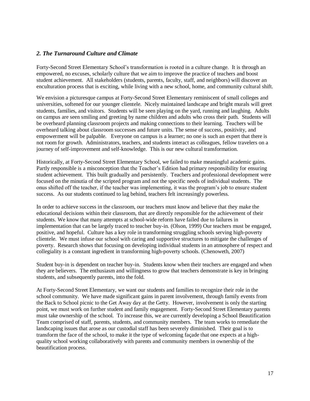## <span id="page-17-0"></span>*2. The Turnaround Culture and Climate*

Forty-Second Street Elementary School's transformation is rooted in a culture change. It is through an empowered, no excuses, scholarly culture that we aim to improve the practice of teachers and boost student achievement. All stakeholders (students, parents, faculty, staff, and neighbors) will discover an enculturation process that is exciting, while living with a new school, home, and community cultural shift.

We envision a picturesque campus at Forty-Second Street Elementary reminiscent of small colleges and universities, softened for our younger clientele. Nicely maintained landscape and bright murals will greet students, families, and visitors. Students will be seen playing on the yard, running and laughing. Adults on campus are seen smiling and greeting by name children and adults who cross their path. Students will be overheard planning classroom projects and making connections to their learning. Teachers will be overheard talking about classroom successes and future units. The sense of success, positivity, and empowerment will be palpable. Everyone on campus is a learner; no one is such an expert that there is not room for growth. Administrators, teachers, and students interact as colleagues, fellow travelers on a journey of self-improvement and self-knowledge. This is our new cultural transformation.

Historically, at Forty-Second Street Elementary School, we failed to make meaningful academic gains. Partly responsible is a misconception that the Teacher's Edition had primary responsibility for ensuring student achievement. This built gradually and persistently. Teachers and professional development were focused on the minutia of the scripted program and not the specific needs of individual students. The onus shifted off the teacher, if the teacher was implementing, it was the program's job to ensure student success. As our students continued to lag behind, teachers felt increasingly powerless.

In order to achieve success in the classroom, our teachers must know and believe that they make the educational decisions within their classroom, that are directly responsible for the achievement of their students. We know that many attempts at school-wide reform have failed due to failures in implementation that can be largely traced to teacher buy-in. (Olson, 1999) Our teachers must be engaged, positive, and hopeful. Culture has a key role in transforming struggling schools serving high-poverty clientele. We must infuse our school with caring and supportive structures to mitigate the challenges of poverty. Research shows that focusing on developing individual students in an atmosphere of respect and collegiality is a constant ingredient in transforming high-poverty schools. (Chenoweth, 2007)

Student buy-in is dependent on teacher buy-in. Students know when their teachers are engaged and when they are believers. The enthusiasm and willingness to grow that teachers demonstrate is key in bringing students, and subsequently parents, into the fold.

At Forty-Second Street Elementary, we want our students and families to recognize their role in the school community. We have made significant gains in parent involvement, through family events from the Back to School picnic to the Get Away day at the Getty. However, involvement is only the starting point, we must work on further student and family engagement. Forty-Second Street Elementary parents must take ownership of the school. To increase this, we are currently developing a School Beautification Team comprised of staff, parents, students, and community members. The team works to remediate the landscaping issues that arose as our custodial staff has been severely diminished. Their goal is to transform the face of the school, to make it the type of welcoming façade that one expects at a highquality school working collaboratively with parents and community members in ownership of the beautification process.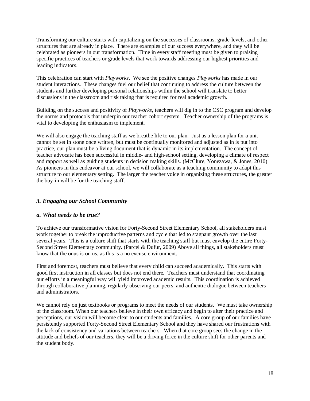Transforming our culture starts with capitalizing on the successes of classrooms, grade-levels, and other structures that are already in place. There are examples of our success everywhere, and they will be celebrated as pioneers in our transformation. Time in every staff meeting must be given to praising specific practices of teachers or grade levels that work towards addressing our highest priorities and leading indicators.

This celebration can start with *Playworks*. We see the positive changes *Playworks* has made in our student interactions. These changes fuel our belief that continuing to address the culture between the students and further developing personal relationships within the school will translate to better discussions in the classroom and risk taking that is required for real academic growth.

Building on the success and positivity of *Playworks*, teachers will dig in to the CSC program and develop the norms and protocols that underpin our teacher cohort system. Teacher ownership of the programs is vital to developing the enthusiasm to implement.

We will also engage the teaching staff as we breathe life to our plan. Just as a lesson plan for a unit cannot be set in stone once written, but must be continually monitored and adjusted as in is put into practice, our plan must be a living document that is dynamic in its implementation. The concept of teacher advocate has been successful in middle- and high-school setting, developing a climate of respect and rapport as well as guiding students in decision making skills. (McClure, Yonezawa, & Jones, 2010) As pioneers in this endeavor at our school, we will collaborate as a teaching community to adapt this structure to our elementary setting. The larger the teacher voice in organizing these structures, the greater the buy-in will be for the teaching staff.

# <span id="page-18-0"></span>*3. Engaging our School Community*

## <span id="page-18-1"></span>*a. What needs to be true?*

To achieve our transformative vision for Forty-Second Street Elementary School, all stakeholders must work together to break the unproductive patterns and cycle that led to stagnant growth over the last several years. This is a culture shift that starts with the teaching staff but must envelop the entire Forty-Second Street Elementary community. (Parcel & Dufur, 2009) Above all things, all stakeholders must know that the onus is on us, as this is a no excuse environment.

First and foremost, teachers must believe that every child can succeed academically. This starts with good first instruction in all classes but does not end there. Teachers must understand that coordinating our efforts in a meaningful way will yield improved academic results. This coordination is achieved through collaborative planning, regularly observing our peers, and authentic dialogue between teachers and administrators.

We cannot rely on just textbooks or programs to meet the needs of our students. We must take ownership of the classroom. When our teachers believe in their own efficacy and begin to alter their practice and perceptions, our vision will become clear to our students and families. A core group of our families have persistently supported Forty-Second Street Elementary School and they have shared our frustrations with the lack of consistency and variations between teachers. When that core group sees the change in the attitude and beliefs of our teachers, they will be a driving force in the culture shift for other parents and the student body.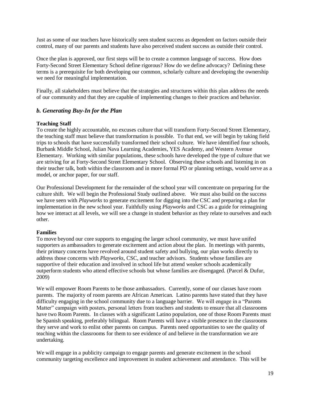Just as some of our teachers have historically seen student success as dependent on factors outside their control, many of our parents and students have also perceived student success as outside their control.

Once the plan is approved, our first steps will be to create a common language of success. How does Forty-Second Street Elementary School define rigorous? How do we define advocacy? Defining these terms is a prerequisite for both developing our common, scholarly culture and developing the ownership we need for meaningful implementation.

Finally, all stakeholders must believe that the strategies and structures within this plan address the needs of our community and that they are capable of implementing changes to their practices and behavior.

## <span id="page-19-0"></span>*b. Generating Buy-In for the Plan*

#### **Teaching Staff**

To create the highly accountable, no excuses culture that will transform Forty-Second Street Elementary, the teaching staff must believe that transformation is possible. To that end, we will begin by taking field trips to schools that have successfully transformed their school culture. We have identified four schools, Burbank Middle School, Julian Nava Learning Academies, YES Academy, and Western Avenue Elementary. Working with similar populations, these schools have developed the type of culture that we are striving for at Forty-Second Street Elementary School. Observing these schools and listening in on their teacher talk, both within the classroom and in more formal PD or planning settings, would serve as a model, or anchor paper, for our staff.

Our Professional Development for the remainder of the school year will concentrate on preparing for the culture shift. We will begin the Professional Study outlined above. We must also build on the success we have seen with *Playworks* to generate excitement for digging into the CSC and preparing a plan for implementation in the new school year. Faithfully using *Playworks* and CSC as a guide for reimagining how we interact at all levels, we will see a change in student behavior as they relate to ourselves and each other.

#### **Families**

To move beyond our core supports to engaging the larger school community, we must have unifed supporters as ambassadors to generate excitement and action about the plan. In meetings with parents, their primary concerns have revolved around student safety and bullying, our plan works directly to address those concerns with *Playworks*, CSC, and teacher advisors. Students whose families are supportive of their education and involved in school life but attend weaker schools academically outperform students who attend effective schools but whose families are disengaged. (Parcel & Dufur, 2009)

We will empower Room Parents to be those ambassadors. Currently, some of our classes have room parents. The majority of room parents are African American. Latino parents have stated that they have difficulty engaging in the school community due to a language barrier. We will engage in a "Parents Matter" campaign with posters, personal letters from teachers and students to ensure that all classrooms have two Room Parents. In classes with a significant Latino population, one of those Room Parents must be Spanish speaking, preferably bilingual. Room Parents will have a visible presence in the classrooms they serve and work to enlist other parents on campus. Parents need opportunities to see the quality of teaching within the classrooms for them to see evidence of and believe in the transformation we are undertaking.

We will engage in a publicity campaign to engage parents and generate excitement in the school community targeting excellence and improvement in student achievement and attendance. This will be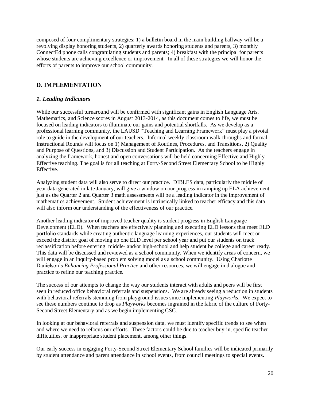composed of four complimentary strategies: 1) a bulletin board in the main building hallway will be a revolving display honoring students, 2) quarterly awards honoring students and parents, 3) monthly ConnectEd phone calls congratulating students and parents; 4) breakfast with the principal for parents whose students are achieving excellence or improvement. In all of these strategies we will honor the efforts of parents to improve our school community.

# <span id="page-20-0"></span>**D. IMPLEMENTATION**

# <span id="page-20-1"></span>*1. Leading Indicators*

While our successful turnaround will be confirmed with significant gains in English Language Arts, Mathematics, and Science scores in August 2013-2014, as this document comes to life, we must be focused on leading indicators to illuminate our gains and potential shortfalls. As we develop as a professional learning community, the LAUSD "Teaching and Learning Framework" must play a pivotal role to guide in the development of our teachers. Informal weekly classroom walk-throughs and formal Instructional Rounds will focus on 1) Management of Routines, Procedures, and Transitions, 2) Quality and Purpose of Questions, and 3) Discussion and Student Participation. As the teachers engage in analyzing the framework, honest and open conversations will be held concerning Effective and Highly Effective teaching. The goal is for all teaching at Forty-Second Street Elementary School to be Highly Effective.

Analyzing student data will also serve to direct our practice. DIBLES data, particularly the middle of year data generated in late January, will give a window on our progress in ramping up ELA achievement just as the Quarter 2 and Quarter 3 math assessments will be a leading indicator in the improvement of mathematics achievement. Student achievement is intrinsically linked to teacher efficacy and this data will also inform our understanding of the effectiveness of our practice.

Another leading indicator of improved teacher quality is student progress in English Language Development (ELD). When teachers are effectively planning and executing ELD lessons that meet ELD portfolio standards while creating authentic language learning experiences, our students will meet or exceed the district goal of moving up one ELD level per school year and put our students on track reclassification before entering middle- and/or high-school and help student be college and career ready. This data will be discussed and reviewed as a school community. When we identify areas of concern, we will engage in an inquiry-based problem solving model as a school community. Using Charlotte Danielson's *Enhancing Professional Practice* and other resources, we will engage in dialogue and practice to refine our teaching practice.

The success of our attempts to change the way our students interact with adults and peers will be first seen in reduced office behavioral referrals and suspensions. We are already seeing a reduction in students with behavioral referrals stemming from playground issues since implementing *Playworks*. We expect to see these numbers continue to drop as *Playworks* becomes ingrained in the fabric of the culture of Forty-Second Street Elementary and as we begin implementing CSC.

In looking at our behavioral referrals and suspension data, we must identify specific trends to see when and where we need to refocus our efforts. These factors could be due to teacher buy-in, specific teacher difficulties, or inappropriate student placement, among other things.

Our early success in engaging Forty-Second Street Elementary School families will be indicated primarily by student attendance and parent attendance in school events, from council meetings to special events.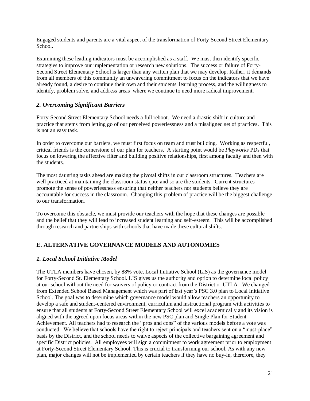Engaged students and parents are a vital aspect of the transformation of Forty-Second Street Elementary School.

Examining these leading indicators must be accomplished as a staff. We must then identify specific strategies to improve our implementation or research new solutions. The success or failure of Forty-Second Street Elementary School is larger than any written plan that we may develop. Rather, it demands from all members of this community an unwavering commitment to focus on the indicators that we have already found, a desire to continue their own and their students' learning process, and the willingness to identify, problem solve, and address areas where we continue to need more radical improvement.

## <span id="page-21-0"></span>*2. Overcoming Significant Barriers*

Forty-Second Street Elementary School needs a full reboot. We need a drastic shift in culture and practice that stems from letting go of our perceived powerlessness and a misaligned set of practices. This is not an easy task.

In order to overcome our barriers, we must first focus on team and trust building. Working as respectful, critical friends is the cornerstone of our plan for teachers. A starting point would be *Playworks* PDs that focus on lowering the affective filter and building positive relationships, first among faculty and then with the students.

The most daunting tasks ahead are making the pivotal shifts in our classroom structures. Teachers are well practiced at maintaining the classroom status quo; and so are the students. Current structures promote the sense of powerlessness ensuring that neither teachers nor students believe they are accountable for success in the classroom. Changing this problem of practice will be the biggest challenge to our transformation.

To overcome this obstacle, we must provide our teachers with the hope that these changes are possible and the belief that they will lead to increased student learning and self-esteem. This will be accomplished through research and partnerships with schools that have made these cultural shifts.

# <span id="page-21-1"></span>**E. ALTERNATIVE GOVERNANCE MODELS AND AUTONOMIES**

# <span id="page-21-2"></span>*1. Local School Initiative Model*

The UTLA members have chosen, by 88% vote, Local Initiative School (LIS) as the governance model for Forty-Second St. Elementary School. LIS gives us the authority and option to determine local policy at our school without the need for waivers of policy or contract from the District or UTLA. We changed from Extended School Based Management which was part of last year's PSC 3.0 plan to Local Initiative School. The goal was to determine which governance model would allow teachers an opportunity to develop a safe and student-centered environment, curriculum and instructional program with activities to ensure that all students at Forty-Second Street Elementary School will excel academically and its vision is aligned with the agreed upon focus areas within the new PSC plan and Single Plan for Student Achievement. All teachers had to research the "pros and cons" of the various models before a vote was conducted. We believe that schools have the right to reject principals and teachers sent on a "must-place" basis by the District, and the school needs to waive aspects of the collective bargaining agreement and specific District policies. All employees will sign a commitment to work agreement prior to employment at Forty-Second Street Elementary School. This is crucial to transforming our school. As with any new plan, major changes will not be implemented by certain teachers if they have no buy-in, therefore, they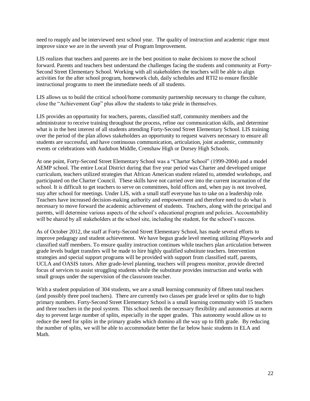need to reapply and be interviewed next school year. The quality of instruction and academic rigor must improve since we are in the seventh year of Program Improvement.

LIS realizes that teachers and parents are in the best position to make decisions to move the school forward. Parents and teachers best understand the challenges facing the students and community at Forty-Second Street Elementary School. Working with all stakeholders the teachers will be able to align activities for the after school program, homework club, daily schedules and RTI2 to ensure flexible instructional programs to meet the immediate needs of all students.

LIS allows us to build the critical school/home community partnership necessary to change the culture, close the "Achievement Gap" plus allow the students to take pride in themselves.

LIS provides an opportunity for teachers, parents, classified staff, community members and the administrator to receive training throughout the process, refine our communication skills, and determine what is in the best interest of all students attending Forty-Second Street Elementary School. LIS training over the period of the plan allows stakeholders an opportunity to request waivers necessary to ensure all students are successful, and have continuous communication, articulation, joint academic, community events or celebrations with Audubon Middle, Crenshaw High or Dorsey High Schools.

At one point, Forty-Second Street Elementary School was a "Charter School" (1999-2004) and a model AEMP school. The entire Local District during that five year period was Charter and developed unique curriculum, teachers utilized strategies that African American student related to, attended workshops, and participated on the Charter Council. These skills have not carried over into the current incarnation of the school. It is difficult to get teachers to serve on committees, hold offices and, when pay is not involved, stay after school for meetings. Under LIS, with a small staff everyone has to take on a leadership role. Teachers have increased decision-making authority and empowerment and therefore need to do what is necessary to move forward the academic achievement of students. Teachers, along with the principal and parents, will determine various aspects of the school's educational program and policies. Accountability will be shared by all stakeholders at the school site, including the student, for the school's success.

As of October 2012, the staff at Forty-Second Street Elementary School, has made several efforts to improve pedagogy and student achievement. We have begun grade level meeting utilizing *Playworks* and classified staff members. To ensure quality instruction continues while teachers plan articulation between grade levels budget transfers will be made to hire highly qualified substitute teachers. Intervention strategies and special support programs will be provided with support from classified staff, parents, UCLA and OASIS tutors. After grade-level planning, teachers will progress monitor, provide directed focus of services to assist struggling students while the substitute provides instruction and works with small groups under the supervision of the classroom teacher.

With a student population of 304 students, we are a small learning community of fifteen total teachers (and possibly three pool teachers). There are currently two classes per grade level or splits due to high primary numbers. Forty-Second Street Elementary School is a small learning community with 15 teachers and three teachers in the pool system. This school needs the necessary flexibility and autonomies at norm day to prevent large number of splits, especially in the upper grades. This autonomy would allow us to reduce the need for splits in the primary grades which domino all the way up to fifth grade. By reducing the number of splits, we will be able to accommodate better the far below basic students in ELA and Math.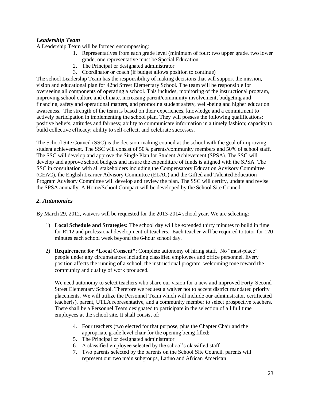# *Leadership Team*

A Leadership Team will be formed encompassing:

- 1. Representatives from each grade level (minimum of four: two upper grade, two lower grade; one representative must be Special Education
- 2. The Principal or designated administrator
- 3. Coordinator or coach (if budget allows position to continue)

The school Leadership Team has the responsibility of making decisions that will support the mission, vision and educational plan for 42nd Street Elementary School. The team will be responsible for overseeing all components of operating a school. This includes, monitoring of the instructional program, improving school culture and climate, increasing parent/community involvement, budgeting and financing, safety and operational matters, and promoting student safety, well-being and higher education awareness. The strength of the team is based on their experiences, knowledge and a commitment to actively participation in implementing the school plan. They will possess the following qualifications: positive beliefs, attitudes and fairness; ability to communicate information in a timely fashion; capacity to build collective efficacy; ability to self-reflect, and celebrate successes.

The School Site Council (SSC) is the decision-making council at the school with the goal of improving student achievement. The SSC will consist of 50% parents/community members and 50% of school staff. The SSC will develop and approve the Single Plan for Student Achievement (SPSA). The SSC will develop and approve school budgets and insure the expenditure of funds is aligned with the SPSA. The SSC in consultation with all stakeholders including the Compensatory Education Advisory Committee (CEAC), the English Learner Advisory Committee (ELAC) and the Gifted and Talented Education Program Advisory Committee will develop and review the plan. The SSC will certify, update and revise the SPSA annually. A Home/School Compact will be developed by the School Site Council.

## <span id="page-23-0"></span>*2. Autonomies*

By March 29, 2012, waivers will be requested for the 2013-2014 school year. We are selecting:

- 1) **Local Schedule and Strategies:** The school day will be extended thirty minutes to build in time for RTI2 and professional development of teachers. Each teacher will be required to tutor for 120 minutes each school week beyond the 6-hour school day.
- 2) **Requirement for "Local Consent"**: Complete autonomy of hiring staff. No "must-place" people under any circumstances including classified employees and office personnel. Every position affects the running of a school, the instructional program, welcoming tone toward the community and quality of work produced.

We need autonomy to select teachers who share our vision for a new and improved Forty-Second Street Elementary School. Therefore we request a waiver not to accept district mandated priority placements. We will utilize the Personnel Team which will include our administrator, certificated teacher(s), parent, UTLA representative, and a community member to select prospective teachers. There shall be a Personnel Team designated to participate in the selection of all full time employees at the school site. It shall consist of:

- 4. Four teachers (two elected for that purpose, plus the Chapter Chair and the appropriate grade level chair for the opening being filled;
- 5. The Principal or designated administrator
- 6. A classified employee selected by the school's classified staff
- 7. Two parents selected by the parents on the School Site Council, parents will represent our two main subgroups, Latino and African American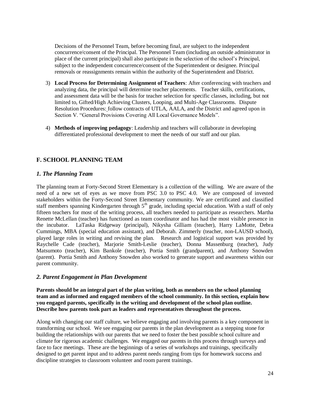Decisions of the Personnel Team, before becoming final, are subject to the independent concurrence/consent of the Principal. The Personnel Team (including an outside administrator in place of the current principal) shall also participate in the selection of the school's Principal, subject to the independent concurrence/consent of the Superintendent or designee. Principal removals or reassignments remain within the authority of the Superintendent and District.

- 3) **Local Process for Determining Assignment of Teachers**: After conferencing with teachers and analyzing data, the principal will determine teacher placements. Teacher skills, certifications, and assessment data will be the basis for teacher selection for specific classes, including, but not limited to, Gifted/High Achieving Clusters, Looping, and Multi-Age Classrooms. Dispute Resolution Procedures: follow contracts of UTLA, AALA, and the District and agreed upon in Section V. "General Provisions Covering All Local Governance Models".
- 4) **Methods of improving pedagogy**: Leadership and teachers will collaborate in developing differentiated professional development to meet the needs of our staff and our plan.

# <span id="page-24-0"></span>**F. SCHOOL PLANNING TEAM**

## <span id="page-24-1"></span>*1. The Planning Team*

The planning team at Forty-Second Street Elementary is a collection of the willing. We are aware of the need of a new set of eyes as we move from PSC 3.0 to PSC 4.0. We are composed of invested stakeholders within the Forty-Second Street Elementary community. We are certificated and classified staff members spanning Kindergarten through 5<sup>th</sup> grade, including special education. With a staff of only fifteen teachers for most of the writing process, all teachers needed to participate as researchers. Martha Renette McLellan (teacher) has functioned as team coordinator and has had the most visible presence in the incubator. LaTaska Ridgeway (principal), Nikysha Gilliam (teacher), Harry LaMotte, Debra Cummings, MBA (special education assistant), and Deborah. Zimmerly (teacher, non-LAUSD school), played large roles in writing and revising the plan. Research and logistical support was provided by Raychelle Cade (teacher), Marjorie Smith-Leslie (teacher), Donna Massenburg (teacher), Judy Matsumoto (teacher), Kim Bankole (teacher), Portia Smith (grandparent), and Anthony Snowden (parent). Portia Smith and Anthony Snowden also worked to generate support and awareness within our parent community.

#### <span id="page-24-2"></span>*2. Parent Engagement in Plan Development*

**Parents should be an integral part of the plan writing, both as members on the school planning team and as informed and engaged members of the school community. In this section, explain how you engaged parents, specifically in the writing and development of the school plan outline. Describe how parents took part as leaders and representatives throughout the process.**

Along with changing our staff culture, we believe engaging and involving parents is a key component in transforming our school. We see engaging our parents in the plan development as a stepping stone for building the relationships with our parents that we need to foster the best possible school culture and climate for rigorous academic challenges. We engaged our parents in this process through surveys and face to face meetings. These are the beginnings of a series of workshops and trainings, specifically designed to get parent input and to address parent needs ranging from tips for homework success and discipline strategies to classroom volunteer and room parent trainings.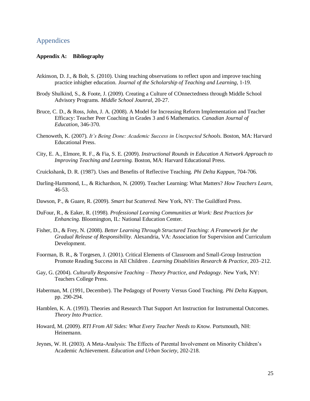# <span id="page-25-1"></span><span id="page-25-0"></span>Appendices

#### **Appendix A: Bibliography**

- Atkinson, D. J., & Bolt, S. (2010). Using teaching observations to reflect upon and improve teaching practice inhigher education. *Journal of the Scholarship of Teaching and Learning*, 1-19.
- Brody Shulkind, S., & Foote, J. (2009). Creating a Culture of COnnectedness through Middle School Advisory Programs. *Middle School Jounral*, 20-27.
- Bruce, C. D., & Ross, John, J. A. (2008). A Model for Increasing Reform Implementation and Teacher Efficacy: Teacher Peer Coaching in Grades 3 and 6 Mathematics. *Canadian Journal of Education*, 346-370.
- Chenoweth, K. (2007). *It's Being Done: Academic Success in Unexpected Schools.* Boston, MA: Harvard Educational Press.
- City, E. A., Elmore, R. F., & Fia, S. E. (2009). *Instructional Rounds in Education A Network Approach to Improving Teaching and Learning.* Boston, MA: Harvard Educational Press.
- Cruickshank, D. R. (1987). Uses and Benefits of Reflective Teaching. *Phi Delta Kappan*, 704-706.
- Darling-Hammond, L., & Richardson, N. (2009). Teacher Learning: What Matters? *How Teachers Learn*, 46-53.
- Dawson, P., & Guare, R. (2009). *Smart but Scattered.* New York, NY: The Guildford Press.
- DuFour, R., & Eaker, R. (1998). *Professional Learning Communities at Work: Best Practices for Enhancing.* Bloomington, IL: National Education Center.
- Fisher, D., & Frey, N. (2008). *Better Learning Through Structured Teaching: A Framework for the Gradual Release of Responsibility.* Alexandria, VA: Association for Supervision and Curriculum Development.
- Foorman, B. R., & Torgesen, J. (2001). Critical Elements of Classroom and Small-Group Instruction Promote Reading Success in All Children . *Learning Disabilities Research & Practice*, 203–212.
- Gay, G. (2004). *Culturally Responsive Teaching – Theory Practice, and Pedagogy.* New York, NY: Teachers College Press.
- Haberman, M. (1991, December). The Pedagogy of Poverty Versus Good Teaching. *Phi Delta Kappan*, pp. 290-294.
- Hamblen, K. A. (1993). Theories and Research That Support Art Instruction for Instrumental Outcomes. *Theory Into Practice*.
- Howard, M. (2009). *RTI From All Sides: What Every Teacher Needs to Know.* Portsmouth, NH: Heinemann.
- Jeynes, W. H. (2003). A Meta-Analysis: The Effects of Parental Involvement on Minority Children's Academic Achievement. *Education and Urban Society*, 202-218.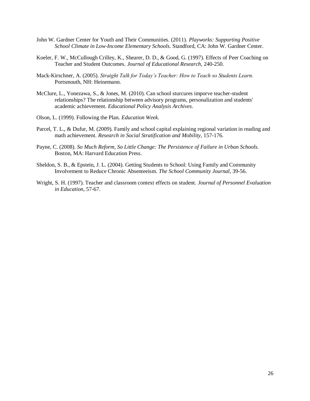- John W. Gardner Center for Youth and Their Communities. (2011). *Playworks: Supporting Positive School Climate in Low*‐*Income Elementary Schools.* Standford, CA: John W. Gardner Center.
- Koeler, F. W., McCullough Crilley, K., Shearer, D. D., & Good, G. (1997). Effects of Peer Coaching on Teacher and Student Outcomes. *Journal of Educational Research*, 240-250.
- Mack-Kirschner, A. (2005). *Straight Talk for Today's Teacher: How to Teach so Students Learn.* Portsmouth, NH: Heinemann.
- McClure, L., Yonezawa, S., & Jones, M. (2010). Can school sturcures imporve teacher-student relationships? The relationship between advisory programs, personalization and students' academic achievement. *Educational Policy Analysis Archives*.
- Olson, L. (1999). Following the Plan. *Education Week*.
- Parcel, T. L., & Dufur, M. (2009). Family and school capital explaining regional variation in reading and math achievement. *Research in Social Stratification and Mobility*, 157-176.
- Payne, C. (2008). *So Much Reform, So Little Change: The Persistence of Failure in Urban Schools.* Boston, MA: Harvard Education Press.
- Sheldon, S. B., & Epstein, J. L. (2004). Getting Students to School: Using Family and Community Involvement to Reduce Chronic Absenteeism. *The School Community Journal*, 39-56.
- Wright, S. H. (1997). Teacher and classroom context effects on student. *Journal of Personnel Evaluation in Education*, 57-67.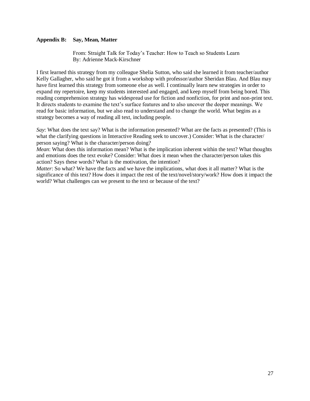## <span id="page-27-0"></span>**Appendix B: Say, Mean, Matter**

From: Straight Talk for Today's Teacher: How to Teach so Students Learn By: Adrienne Mack-Kirschner

I first learned this strategy from my colleague Shelia Sutton, who said she learned it from teacher/author Kelly Gallagher, who said he got it from a workshop with professor/author Sheridan Blau. And Blau may have first learned this strategy from someone else as well. I continually learn new strategies in order to expand my repertoire, keep my students interested and engaged, and keep myself from being bored. This reading comprehension strategy has widespread use for fiction and nonfiction, for print and non-print text. It directs students to examine the text's surface features and to also uncover the deeper meanings. We read for basic information, but we also read to understand and to change the world. What begins as a strategy becomes a way of reading all text, including people.

*Say*: What does the text say? What is the information presented? What are the facts as presented? (This is what the clarifying questions in Interactive Reading seek to uncover.) Consider: What is the character/ person saying? What is the character/person doing?

*Mean*: What does this information mean? What is the implication inherent within the text? What thoughts and emotions does the text evoke? Consider: What does it mean when the character/person takes this action? Says these words? What is the motivation, the intention?

*Matter*: So what? We have the facts and we have the implications, what does it all matter? What is the significance of this text? How does it impact the rest of the text/novel/story/work? How does it impact the world? What challenges can we present to the text or because of the text?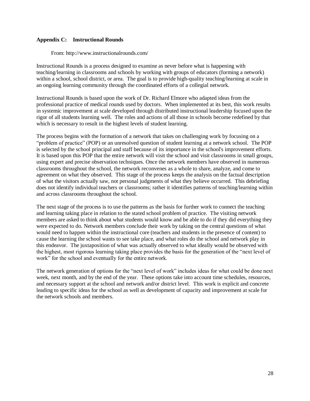#### <span id="page-28-0"></span>**Appendix C: Instructional Rounds**

From: http://www.instructionalrounds.com/

Instructional Rounds is a process designed to examine as never before what is happening with teaching/learning in classrooms and schools by working with groups of educators (forming a network) within a school, school district, or area. The goal is to provide high-quality teaching/learning at scale in an ongoing learning community through the coordinated efforts of a collegial network.

Instructional Rounds is based upon the work of Dr. Richard Elmore who adapted ideas from the professional practice of medical rounds used by doctors. When implemented at its best, this work results in systemic improvement at scale developed through distributed instructional leadership focused upon the rigor of all students learning well. The roles and actions of all those in schools become redefined by that which is necessary to result in the highest levels of student learning.

The process begins with the formation of a network that takes on challenging work by focusing on a "problem of practice" (POP) or an unresolved question of student learning at a network school. The POP is selected by the school principal and staff because of its importance in the school's improvement efforts. It is based upon this POP that the entire network will visit the school and visit classrooms in small groups, using expert and precise observation techniques. Once the network members have observed in numerous classrooms throughout the school, the network reconvenes as a whole to share, analyze, and come to agreement on what they observed. This stage of the process keeps the analysis on the factual description of what the visitors actually saw, not personal judgments of what they believe occurred. This debriefing does not identify individual teachers or classrooms; rather it identifies patterns of teaching/learning within and across classrooms throughout the school.

The next stage of the process is to use the patterns as the basis for further work to connect the teaching and learning taking place in relation to the stated school problem of practice. The visiting network members are asked to think about what students would know and be able to do if they did everything they were expected to do. Network members conclude their work by taking on the central questions of what would need to happen within the instructional core (teachers and students in the presence of content) to cause the learning the school wants to see take place, and what roles do the school and network play in this endeavor. The juxtaposition of what was actually observed to what ideally would be observed with the highest, most rigorous learning taking place provides the basis for the generation of the "next level of work" for the school and eventually for the entire network.

The network generation of options for the "next level of work" includes ideas for what could be done next week, next month, and by the end of the year. These options take into account time schedules, resources, and necessary support at the school and network and/or district level. This work is explicit and concrete leading to specific ideas for the school as well as development of capacity and improvement at scale for the network schools and members.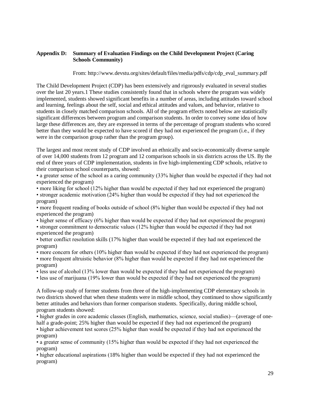## <span id="page-29-0"></span>**Appendix D: Summary of Evaluation Findings on the Child Development Project (Caring Schools Community)**

From: http://www.devstu.org/sites/default/files/media/pdfs/cdp/cdp\_eval\_summary.pdf

The Child Development Project (CDP) has been extensively and rigorously evaluated in several studies over the last 20 years.1 These studies consistently found that in schools where the program was widely implemented, students showed significant benefits in a number of areas, including attitudes toward school and learning, feelings about the self, social and ethical attitudes and values, and behavior, relative to students in closely matched comparison schools. All of the program effects noted below are statistically significant differences between program and comparison students. In order to convey some idea of how large these differences are, they are expressed in terms of the percentage of program students who scored better than they would be expected to have scored if they had not experienced the program (i.e., if they were in the comparison group rather than the program group).

The largest and most recent study of CDP involved an ethnically and socio-economically diverse sample of over 14,000 students from 12 program and 12 comparison schools in six districts across the US. By the end of three years of CDP implementation, students in five high-implementing CDP schools, relative to their comparison school counterparts, showed:

• a greater sense of the school as a caring community (33% higher than would be expected if they had not experienced the program)

• more liking for school (12% higher than would be expected if they had not experienced the program)

• stronger academic motivation (24% higher than would be expected if they had not experienced the program)

• more frequent reading of books outside of school (8% higher than would be expected if they had not experienced the program)

• higher sense of efficacy (6% higher than would be expected if they had not experienced the program)

• stronger commitment to democratic values (12% higher than would be expected if they had not experienced the program)

• better conflict resolution skills (17% higher than would be expected if they had not experienced the program)

• more concern for others (10% higher than would be expected if they had not experienced the program) • more frequent altruistic behavior (8% higher than would be expected if they had not experienced the program)

• less use of alcohol (13% lower than would be expected if they had not experienced the program)

• less use of marijuana (19% lower than would be expected if they had not experienced the program)

A follow-up study of former students from three of the high-implementing CDP elementary schools in two districts showed that when these students were in middle school, they continued to show significantly better attitudes and behaviors than former comparison students. Specifically, during middle school, program students showed:

• higher grades in core academic classes (English, mathematics, science, social studies)—(average of onehalf a grade-point; 25% higher than would be expected if they had not experienced the program)

• higher achievement test scores (25% higher than would be expected if they had not experienced the program)

• a greater sense of community (15% higher than would be expected if they had not experienced the program)

• higher educational aspirations (18% higher than would be expected if they had not experienced the program)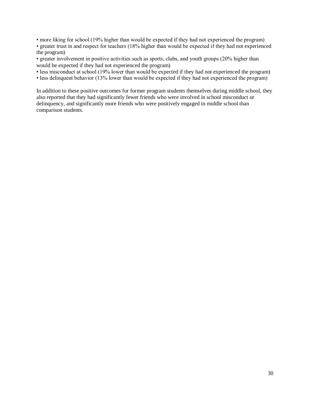• more liking for school (19% higher than would be expected if they had not experienced the program)

• greater trust in and respect for teachers (18% higher than would be expected if they had not experienced the program)

• greater involvement in positive activities such as sports, clubs, and youth groups (20% higher than would be expected if they had not experienced the program)

• less misconduct at school (19% lower than would be expected if they had not experienced the program)

• less delinquent behavior (13% lower than would be expected if they had not experienced the program)

In addition to these positive outcomes for former program students themselves during middle school, they also reported that they had significantly fewer friends who were involved in school misconduct or delinquency, and significantly more friends who were positively engaged in middle school than comparison students.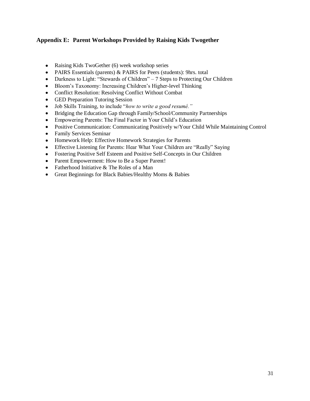# <span id="page-31-0"></span>**Appendix E: Parent Workshops Provided by Raising Kids Twogether**

- Raising Kids TwoGether (6) week workshop series
- PAIRS Essentials (parents) & PAIRS for Peers (students): 9hrs. total
- Darkness to Light: "Stewards of Children" 7 Steps to Protecting Our Children
- Bloom's Taxonomy: Increasing Children's Higher-level Thinking
- Conflict Resolution: Resolving Conflict Without Combat  $\bullet$
- GED Preparation Tutoring Session  $\bullet$
- $\bullet$ Job Skills Training, to include "*how to write a good resumé."*
- Bridging the Education Gap through Family/School/Community Partnerships  $\bullet$
- Empowering Parents: The Final Factor in Your Child's Education  $\bullet$
- Positive Communication: Communicating Positively w/Your Child While Maintaining Control
- Family Services Seminar
- Homework Help: Effective Homework Strategies for Parents
- Effective Listening for Parents: Hear What Your Children are "Really" Saying
- Fostering Positive Self Esteem and Positive Self-Concepts in Our Children
- Parent Empowerment: How to Be a Super Parent!
- Fatherhood Initiative & The Roles of a Man
- Great Beginnings for Black Babies/Healthy Moms & Babies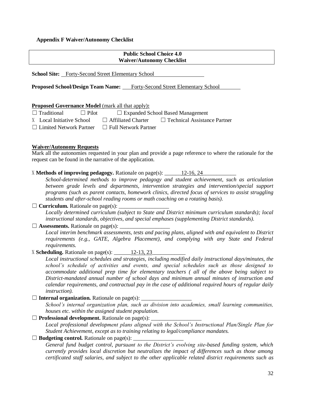#### <span id="page-32-0"></span>**Appendix F Waiver/Autonomy Checklist**

#### **Public School Choice 4.0 Waiver/Autonomy Checklist**

**School Site:** Forty-Second Street Elementary School

**Proposed School/Design Team Name:** Forty-Second Street Elementary School

#### **Proposed Governance Model** (mark all that apply)**:**

| $\Box$ Traditional             | $\Box$ Pilot |                             | $\Box$ Expanded School Based Management |
|--------------------------------|--------------|-----------------------------|-----------------------------------------|
| X Local Initiative School      |              | $\Box$ Affiliated Charter   | $\Box$ Technical Assistance Partner     |
| $\Box$ Limited Network Partner |              | $\Box$ Full Network Partner |                                         |

#### **Waiver/Autonomy Requests**

Mark all the autonomies requested in your plan and provide a page reference to where the rationale for the request can be found in the narrative of the application.

X **Methods of improving pedagogy.** Rationale on page(s): 12-16, 24

*School-determined methods to improve pedagogy and student achievement, such as articulation between grade levels and departments, intervention strategies and intervention/special support programs (such as parent contacts, homework clinics, directed focus of services to assist struggling students and after-school reading rooms or math coaching on a rotating basis).*

 $\Box$  **Curriculum.** Rationale on page(s):

*Locally determined curriculum (subject to State and District minimum curriculum standards); local instructional standards, objectives, and special emphases (supplementing District standards).*

 $\Box$  **Assessments.** Rationale on page(s):

*Local interim benchmark assessments, tests and pacing plans, aligned with and equivalent to District requirements (e.g., GATE, Algebra Placement), and complying with any State and Federal requirements.* 

X **Scheduling.** Rationale on page(s):  $12-13, 23$ 

*Local instructional schedules and strategies, including modified daily instructional days/minutes, the school's schedule of activities and events, and special schedules such as those designed to accommodate additional prep time for elementary teachers ( all of the above being subject to District-mandated annual number of school days and minimum annual minutes of instruction and calendar requirements, and contractual pay in the case of additional required hours of regular daily instruction).* 

 $\Box$  **Internal organization.** Rationale on page(s):  $\Box$ 

*School's internal organization plan, such as division into academies, small learning communities, houses etc. within the assigned student population.*

 $\Box$  **Professional development.** Rationale on page(s):

*Local professional development plans aligned with the School's Instructional Plan/Single Plan for Student Achievement, except as to training relating to legal/compliance mandates.* 

 $\Box$  **Budgeting control.** Rationale on page(s):

*General fund budget control, pursuant to the District's evolving site-based funding system, which currently provides local discretion but neutralizes the impact of differences such as those among certificated staff salaries, and subject to the other applicable related district requirements such as*